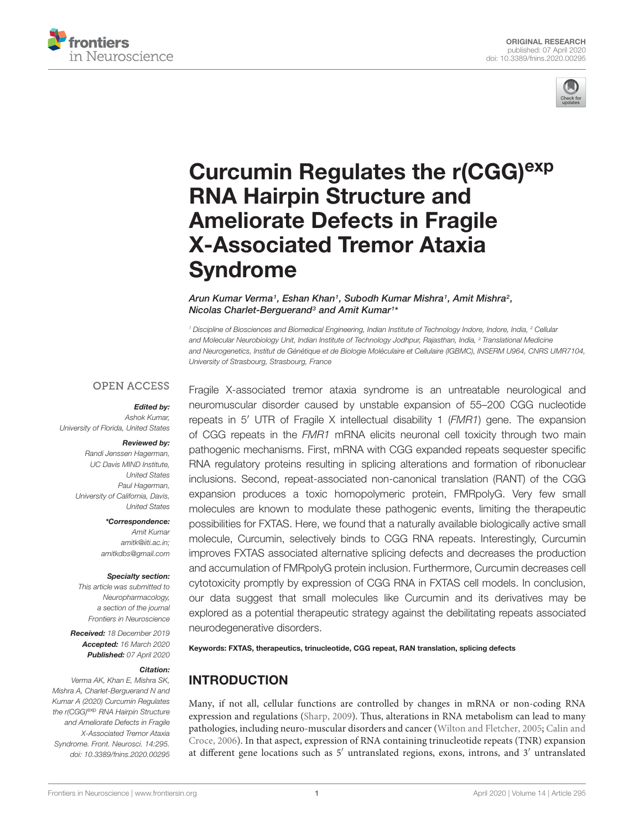



# Curcumin Regulates the r(CGG)<sup>exp</sup> RNA Hairpin Structure and Ameliorate Defects in Fragile X-Associated Tremor Ataxia Syndrome

Arun Kumar Verma1, Eshan Khan1, Subodh Kumar Mishra1, Amit Mishra2, Nicolas Charlet-Berguerand<sup>3</sup> and Amit Kumar<sup>1\*</sup>

<sup>1</sup> Discipline of Biosciences and Biomedical Engineering, Indian Institute of Technology Indore, Indore, India, <sup>2</sup> Cellular and Molecular Neurobiology Unit, Indian Institute of Technology Jodhpur, Rajasthan, India, <sup>3</sup> Translational Medicine and Neurogenetics, Institut de Génétique et de Biologie Moléculaire et Cellulaire (IGBMC), INSERM U964, CNRS UMR7104, University of Strasbourg, Strasbourg, France

#### **OPEN ACCESS**

#### Edited by:

Ashok Kumar, University of Florida, United States

#### Reviewed by:

Randi Jenssen Hagerman, UC Davis MIND Institute, United States Paul Hagerman, University of California, Davis, United States

\*Correspondence:

Amit Kumar amitk@iiti.ac.in; amitkdbs@gmail.com

#### Specialty section:

This article was submitted to Neuropharmacology, a section of the journal Frontiers in Neuroscience

Received: 18 December 2019 Accepted: 16 March 2020 Published: 07 April 2020

#### Citation:

Verma AK, Khan E, Mishra SK, Mishra A, Charlet-Berguerand N and Kumar A (2020) Curcumin Regulates the r(CGG)<sup>exp</sup> RNA Hairpin Structure and Ameliorate Defects in Fragile X-Associated Tremor Ataxia Syndrome. Front. Neurosci. 14:295. doi: 10.3389/fnins.2020.00295

Fragile X-associated tremor ataxia syndrome is an untreatable neurological and neuromuscular disorder caused by unstable expansion of 55–200 CGG nucleotide repeats in 5′ UTR of Fragile X intellectual disability 1 (FMR1) gene. The expansion of CGG repeats in the FMR1 mRNA elicits neuronal cell toxicity through two main pathogenic mechanisms. First, mRNA with CGG expanded repeats sequester specific RNA regulatory proteins resulting in splicing alterations and formation of ribonuclear inclusions. Second, repeat-associated non-canonical translation (RANT) of the CGG expansion produces a toxic homopolymeric protein, FMRpolyG. Very few small molecules are known to modulate these pathogenic events, limiting the therapeutic possibilities for FXTAS. Here, we found that a naturally available biologically active small molecule, Curcumin, selectively binds to CGG RNA repeats. Interestingly, Curcumin improves FXTAS associated alternative splicing defects and decreases the production and accumulation of FMRpolyG protein inclusion. Furthermore, Curcumin decreases cell cytotoxicity promptly by expression of CGG RNA in FXTAS cell models. In conclusion, our data suggest that small molecules like Curcumin and its derivatives may be explored as a potential therapeutic strategy against the debilitating repeats associated neurodegenerative disorders.

Keywords: FXTAS, therapeutics, trinucleotide, CGG repeat, RAN translation, splicing defects

## INTRODUCTION

Many, if not all, cellular functions are controlled by changes in mRNA or non-coding RNA expression and regulations (Sharp, 2009). Thus, alterations in RNA metabolism can lead to many pathologies, including neuro-muscular disorders and cancer (Wilton and Fletcher, 2005; Calin and Croce, 2006). In that aspect, expression of RNA containing trinucleotide repeats (TNR) expansion at different gene locations such as 5′ untranslated regions, exons, introns, and 3′ untranslated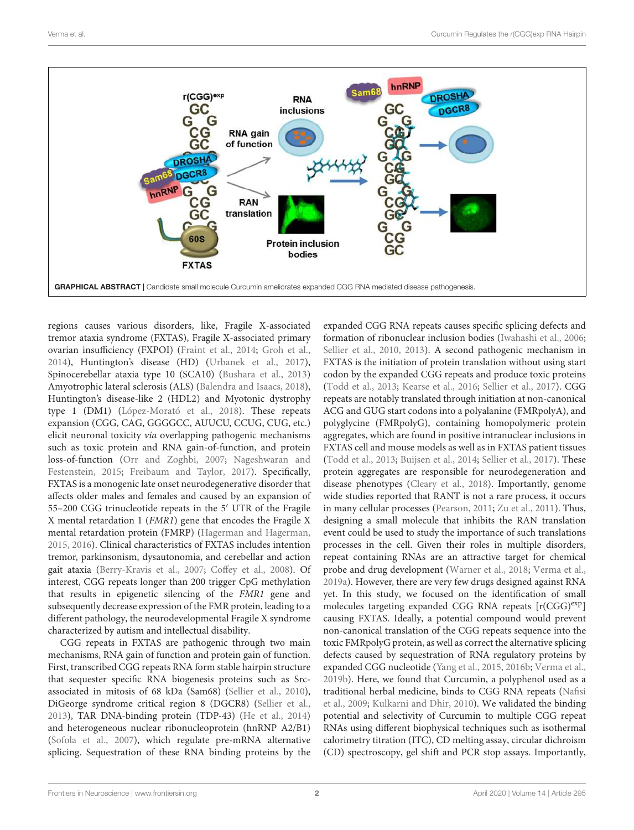

regions causes various disorders, like, Fragile X-associated tremor ataxia syndrome (FXTAS), Fragile X-associated primary ovarian insufficiency (FXPOI) (Fraint et al., 2014; Groh et al., 2014), Huntington's disease (HD) (Urbanek et al., 2017), Spinocerebellar ataxia type 10 (SCA10) (Bushara et al., 2013) Amyotrophic lateral sclerosis (ALS) (Balendra and Isaacs, 2018), Huntington's disease-like 2 (HDL2) and Myotonic dystrophy type 1 (DM1) (López-Morató et al., 2018). These repeats expansion (CGG, CAG, GGGGCC, AUUCU, CCUG, CUG, etc.) elicit neuronal toxicity via overlapping pathogenic mechanisms such as toxic protein and RNA gain-of-function, and protein loss-of-function (Orr and Zoghbi, 2007; Nageshwaran and Festenstein, 2015; Freibaum and Taylor, 2017). Specifically, FXTAS is a monogenic late onset neurodegenerative disorder that affects older males and females and caused by an expansion of 55–200 CGG trinucleotide repeats in the 5′ UTR of the Fragile X mental retardation 1 (FMR1) gene that encodes the Fragile X mental retardation protein (FMRP) (Hagerman and Hagerman, 2015, 2016). Clinical characteristics of FXTAS includes intention tremor, parkinsonism, dysautonomia, and cerebellar and action gait ataxia (Berry-Kravis et al., 2007; Coffey et al., 2008). Of interest, CGG repeats longer than 200 trigger CpG methylation that results in epigenetic silencing of the FMR1 gene and subsequently decrease expression of the FMR protein, leading to a different pathology, the neurodevelopmental Fragile X syndrome characterized by autism and intellectual disability.

CGG repeats in FXTAS are pathogenic through two main mechanisms, RNA gain of function and protein gain of function. First, transcribed CGG repeats RNA form stable hairpin structure that sequester specific RNA biogenesis proteins such as Srcassociated in mitosis of 68 kDa (Sam68) (Sellier et al., 2010), DiGeorge syndrome critical region 8 (DGCR8) (Sellier et al., 2013), TAR DNA-binding protein (TDP-43) (He et al., 2014) and heterogeneous nuclear ribonucleoprotein (hnRNP A2/B1) (Sofola et al., 2007), which regulate pre-mRNA alternative splicing. Sequestration of these RNA binding proteins by the

expanded CGG RNA repeats causes specific splicing defects and formation of ribonuclear inclusion bodies (Iwahashi et al., 2006; Sellier et al., 2010, 2013). A second pathogenic mechanism in FXTAS is the initiation of protein translation without using start codon by the expanded CGG repeats and produce toxic proteins (Todd et al., 2013; Kearse et al., 2016; Sellier et al., 2017). CGG repeats are notably translated through initiation at non-canonical ACG and GUG start codons into a polyalanine (FMRpolyA), and polyglycine (FMRpolyG), containing homopolymeric protein aggregates, which are found in positive intranuclear inclusions in FXTAS cell and mouse models as well as in FXTAS patient tissues (Todd et al., 2013; Buijsen et al., 2014; Sellier et al., 2017). These protein aggregates are responsible for neurodegeneration and disease phenotypes (Cleary et al., 2018). Importantly, genome wide studies reported that RANT is not a rare process, it occurs in many cellular processes (Pearson, 2011; Zu et al., 2011). Thus, designing a small molecule that inhibits the RAN translation event could be used to study the importance of such translations processes in the cell. Given their roles in multiple disorders, repeat containing RNAs are an attractive target for chemical probe and drug development (Warner et al., 2018; Verma et al., 2019a). However, there are very few drugs designed against RNA yet. In this study, we focused on the identification of small molecules targeting expanded CGG RNA repeats [r(CGG)exp] causing FXTAS. Ideally, a potential compound would prevent non-canonical translation of the CGG repeats sequence into the toxic FMRpolyG protein, as well as correct the alternative splicing defects caused by sequestration of RNA regulatory proteins by expanded CGG nucleotide (Yang et al., 2015, 2016b; Verma et al., 2019b). Here, we found that Curcumin, a polyphenol used as a traditional herbal medicine, binds to CGG RNA repeats (Nafisi et al., 2009; Kulkarni and Dhir, 2010). We validated the binding potential and selectivity of Curcumin to multiple CGG repeat RNAs using different biophysical techniques such as isothermal calorimetry titration (ITC), CD melting assay, circular dichroism (CD) spectroscopy, gel shift and PCR stop assays. Importantly,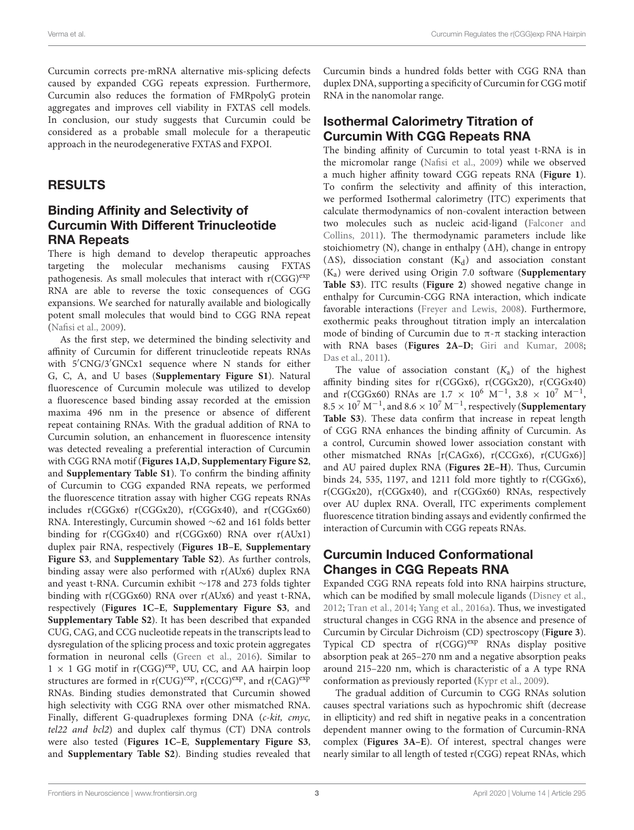Curcumin corrects pre-mRNA alternative mis-splicing defects caused by expanded CGG repeats expression. Furthermore, Curcumin also reduces the formation of FMRpolyG protein aggregates and improves cell viability in FXTAS cell models. In conclusion, our study suggests that Curcumin could be considered as a probable small molecule for a therapeutic approach in the neurodegenerative FXTAS and FXPOI.

#### RESULTS

#### Binding Affinity and Selectivity of Curcumin With Different Trinucleotide RNA Repeats

There is high demand to develop therapeutic approaches targeting the molecular mechanisms causing FXTAS pathogenesis. As small molecules that interact with  $r(CGG)^{exp}$ RNA are able to reverse the toxic consequences of CGG expansions. We searched for naturally available and biologically potent small molecules that would bind to CGG RNA repeat (Nafisi et al., 2009).

As the first step, we determined the binding selectivity and affinity of Curcumin for different trinucleotide repeats RNAs with 5′CNG/3′GNCx1 sequence where N stands for either G, C, A, and U bases (**Supplementary Figure S1**). Natural fluorescence of Curcumin molecule was utilized to develop a fluorescence based binding assay recorded at the emission maxima 496 nm in the presence or absence of different repeat containing RNAs. With the gradual addition of RNA to Curcumin solution, an enhancement in fluorescence intensity was detected revealing a preferential interaction of Curcumin with CGG RNA motif (**Figures 1A,D**, **Supplementary Figure S2**, and **Supplementary Table S1**). To confirm the binding affinity of Curcumin to CGG expanded RNA repeats, we performed the fluorescence titration assay with higher CGG repeats RNAs includes r(CGGx6) r(CGGx20), r(CGGx40), and r(CGGx60) RNA. Interestingly, Curcumin showed ∼62 and 161 folds better binding for r(CGGx40) and r(CGGx60) RNA over r(AUx1) duplex pair RNA, respectively (**Figures 1B–E**, **Supplementary Figure S3**, and **Supplementary Table S2**). As further controls, binding assay were also performed with r(AUx6) duplex RNA and yeast t-RNA. Curcumin exhibit ∼178 and 273 folds tighter binding with r(CGGx60) RNA over r(AUx6) and yeast t-RNA, respectively (**Figures 1C–E**, **Supplementary Figure S3**, and **Supplementary Table S2**). It has been described that expanded CUG, CAG, and CCG nucleotide repeats in the transcripts lead to dysregulation of the splicing process and toxic protein aggregates formation in neuronal cells (Green et al., 2016). Similar to  $1 \times 1$  GG motif in r(CGG)<sup>exp</sup>, UU, CC, and AA hairpin loop structures are formed in  $r(CUG)^{exp}$ ,  $r(CCG)^{exp}$ , and  $r(CAG)^{exp}$ RNAs. Binding studies demonstrated that Curcumin showed high selectivity with CGG RNA over other mismatched RNA. Finally, different G-quadruplexes forming DNA (c-kit, cmyc, tel22 and bcl2) and duplex calf thymus (CT) DNA controls were also tested (**Figures 1C–E**, **Supplementary Figure S3**, and **Supplementary Table S2**). Binding studies revealed that

Curcumin binds a hundred folds better with CGG RNA than duplex DNA, supporting a specificity of Curcumin for CGG motif RNA in the nanomolar range.

#### Isothermal Calorimetry Titration of Curcumin With CGG Repeats RNA

The binding affinity of Curcumin to total yeast t-RNA is in the micromolar range (Nafisi et al., 2009) while we observed a much higher affinity toward CGG repeats RNA (**Figure 1**). To confirm the selectivity and affinity of this interaction, we performed Isothermal calorimetry (ITC) experiments that calculate thermodynamics of non-covalent interaction between two molecules such as nucleic acid-ligand (Falconer and Collins, 2011). The thermodynamic parameters include like stoichiometry (N), change in enthalpy  $(\Delta H)$ , change in entropy  $(\Delta S)$ , dissociation constant  $(K_d)$  and association constant (Ka) were derived using Origin 7.0 software (**Supplementary Table S3**). ITC results (**Figure 2**) showed negative change in enthalpy for Curcumin-CGG RNA interaction, which indicate favorable interactions (Freyer and Lewis, 2008). Furthermore, exothermic peaks throughout titration imply an intercalation mode of binding of Curcumin due to  $\pi$ - $\pi$  stacking interaction with RNA bases (**Figures 2A–D**; Giri and Kumar, 2008; Das et al., 2011).

The value of association constant  $(K_a)$  of the highest affinity binding sites for r(CGGx6), r(CGGx20), r(CGGx40) and r(CGGx60) RNAs are  $1.7 \times 10^6$  M<sup>-1</sup>,  $3.8 \times 10^7$  M<sup>-1</sup>,  $8.5 \times 10^7$  M<sup>-1</sup>, and  $8.6 \times 10^7$  M<sup>-1</sup>, respectively (**Supplementary Table S3**). These data confirm that increase in repeat length of CGG RNA enhances the binding affinity of Curcumin. As a control, Curcumin showed lower association constant with other mismatched RNAs [r(CAGx6), r(CCGx6), r(CUGx6)] and AU paired duplex RNA (**Figures 2E–H**). Thus, Curcumin binds 24, 535, 1197, and 1211 fold more tightly to r(CGGx6), r(CGGx20), r(CGGx40), and r(CGGx60) RNAs, respectively over AU duplex RNA. Overall, ITC experiments complement fluorescence titration binding assays and evidently confirmed the interaction of Curcumin with CGG repeats RNAs.

#### Curcumin Induced Conformational Changes in CGG Repeats RNA

Expanded CGG RNA repeats fold into RNA hairpins structure, which can be modified by small molecule ligands (Disney et al., 2012; Tran et al., 2014; Yang et al., 2016a). Thus, we investigated structural changes in CGG RNA in the absence and presence of Curcumin by Circular Dichroism (CD) spectroscopy (**Figure 3**). Typical CD spectra of r(CGG)<sup>exp</sup> RNAs display positive absorption peak at 265–270 nm and a negative absorption peaks around 215–220 nm, which is characteristic of a A type RNA conformation as previously reported (Kypr et al., 2009).

The gradual addition of Curcumin to CGG RNAs solution causes spectral variations such as hypochromic shift (decrease in ellipticity) and red shift in negative peaks in a concentration dependent manner owing to the formation of Curcumin-RNA complex (**Figures 3A–E**). Of interest, spectral changes were nearly similar to all length of tested r(CGG) repeat RNAs, which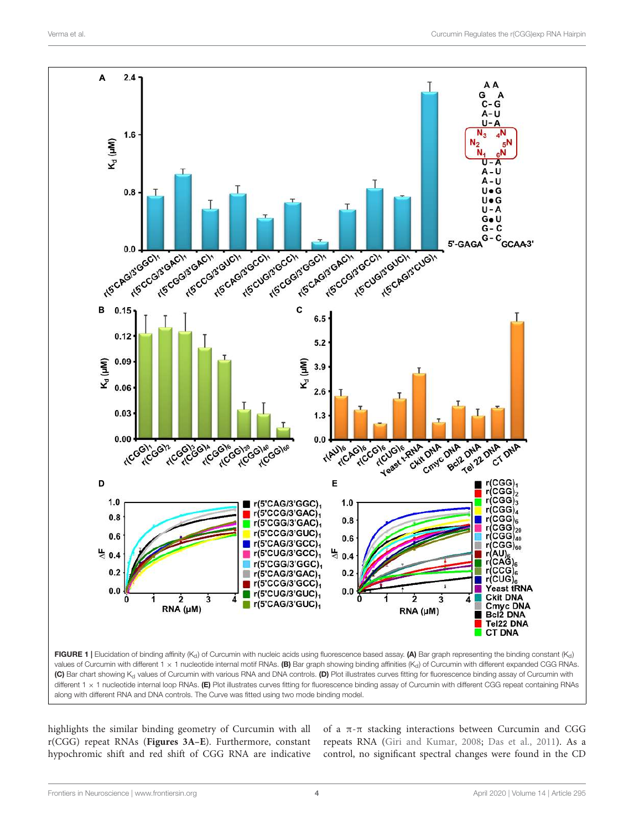

(C) Bar chart showing K<sub>d</sub> values of Curcumin with various RNA and DNA controls. (D) Plot illustrates curves fitting for fluorescence binding assay of Curcumin with different  $1 \times 1$  nucleotide internal loop RNAs. (E) Plot illustrates curves fitting for fluorescence binding assay of Curcumin with different CGG repeat containing RNAs along with different RNA and DNA controls. The Curve was fitted using two mode binding model.

highlights the similar binding geometry of Curcumin with all r(CGG) repeat RNAs (**Figures 3A–E**). Furthermore, constant hypochromic shift and red shift of CGG RNA are indicative of a π-π stacking interactions between Curcumin and CGG repeats RNA (Giri and Kumar, 2008; Das et al., 2011). As a control, no significant spectral changes were found in the CD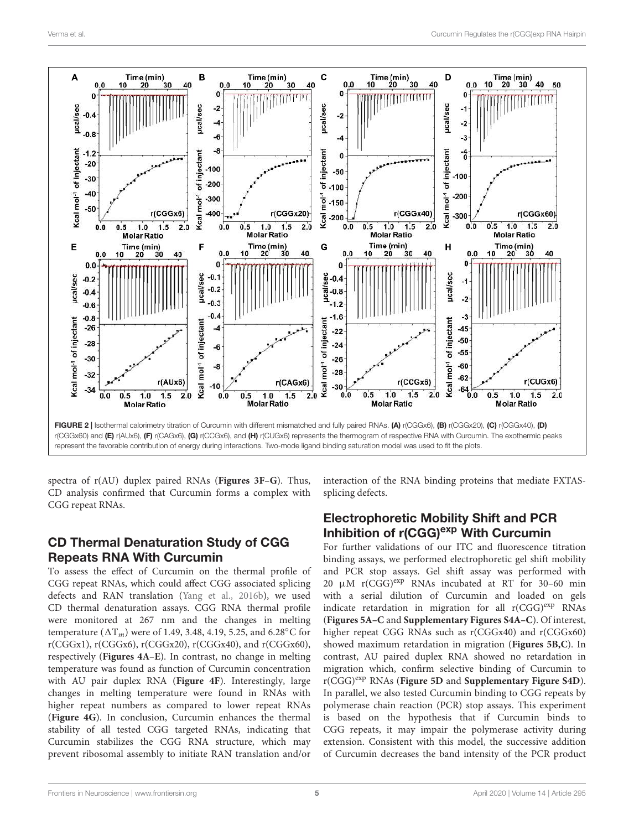

spectra of r(AU) duplex paired RNAs (**Figures 3F–G**). Thus, CD analysis confirmed that Curcumin forms a complex with CGG repeat RNAs.

## CD Thermal Denaturation Study of CGG Repeats RNA With Curcumin

To assess the effect of Curcumin on the thermal profile of CGG repeat RNAs, which could affect CGG associated splicing defects and RAN translation (Yang et al., 2016b), we used CD thermal denaturation assays. CGG RNA thermal profile were monitored at 267 nm and the changes in melting temperature ( $\Delta T_m$ ) were of 1.49, 3.48, 4.19, 5.25, and 6.28°C for  $r(CGGx1)$ ,  $r(CGGx6)$ ,  $r(CGGx20)$ ,  $r(CGGx40)$ , and  $r(CGGx60)$ , respectively (**Figures 4A–E**). In contrast, no change in melting temperature was found as function of Curcumin concentration with AU pair duplex RNA (**Figure 4F**). Interestingly, large changes in melting temperature were found in RNAs with higher repeat numbers as compared to lower repeat RNAs (**Figure 4G**). In conclusion, Curcumin enhances the thermal stability of all tested CGG targeted RNAs, indicating that Curcumin stabilizes the CGG RNA structure, which may prevent ribosomal assembly to initiate RAN translation and/or interaction of the RNA binding proteins that mediate FXTASsplicing defects.

#### Electrophoretic Mobility Shift and PCR Inhibition of r(CGG)<sup>exp</sup> With Curcumin

For further validations of our ITC and fluorescence titration binding assays, we performed electrophoretic gel shift mobility and PCR stop assays. Gel shift assay was performed with 20  $\mu$ M r(CGG)<sup>exp</sup> RNAs incubated at RT for 30-60 min with a serial dilution of Curcumin and loaded on gels indicate retardation in migration for all  $r(CGG)^{exp}$  RNAs (**Figures 5A–C** and **Supplementary Figures S4A–C**). Of interest, higher repeat CGG RNAs such as r(CGGx40) and r(CGGx60) showed maximum retardation in migration (**Figures 5B,C**). In contrast, AU paired duplex RNA showed no retardation in migration which, confirm selective binding of Curcumin to r(CGG)exp RNAs (**Figure 5D** and **Supplementary Figure S4D**). In parallel, we also tested Curcumin binding to CGG repeats by polymerase chain reaction (PCR) stop assays. This experiment is based on the hypothesis that if Curcumin binds to CGG repeats, it may impair the polymerase activity during extension. Consistent with this model, the successive addition of Curcumin decreases the band intensity of the PCR product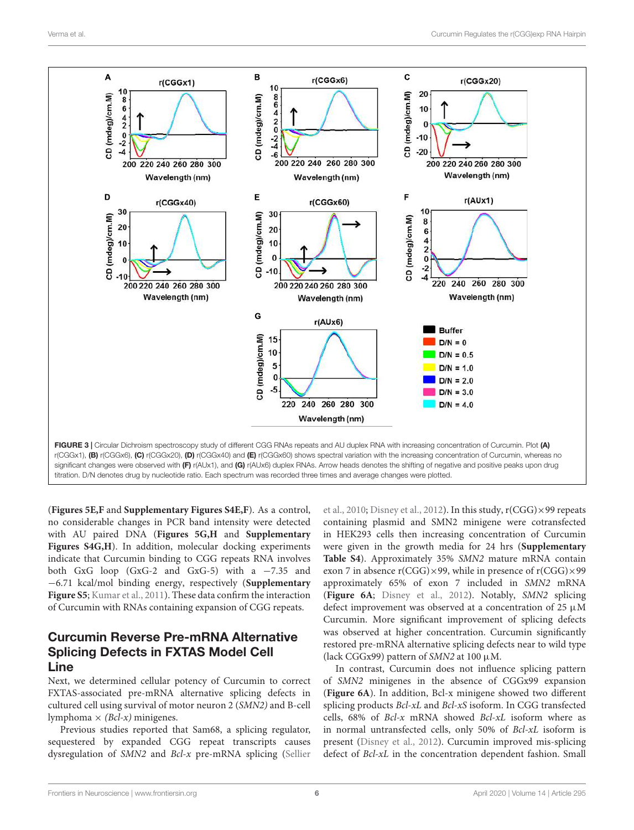

(**Figures 5E,F** and **Supplementary Figures S4E,F**). As a control, no considerable changes in PCR band intensity were detected with AU paired DNA (**Figures 5G,H** and **Supplementary** Figures S4G,H). In addition, molecular docking experiments indicate that Curcumin binding to CGG repeats RNA involves both GxG loop (GxG-2 and GxG-5) with a  $-7.35$  and −6.71 kcal/mol binding energy, respectively (**Supplementary Figure S5**; Kumar et al., 2011). These data confirm the interaction of Curcumin with RNAs containing expansion of CGG repeats.

#### Curcumin Reverse Pre-mRNA Alternative Splicing Defects in FXTAS Model Cell Line

Next, we determined cellular potency of Curcumin to correct FXTAS-associated pre-mRNA alternative splicing defects in cultured cell using survival of motor neuron 2 (SMN2) and B-cell lymphoma  $\times$  (*Bcl-x*) minigenes.

Previous studies reported that Sam68, a splicing regulator, sequestered by expanded CGG repeat transcripts causes dysregulation of SMN2 and Bcl-x pre-mRNA splicing (Sellier

et al., 2010; Disney et al., 2012). In this study, r(CGG)×99 repeats containing plasmid and SMN2 minigene were cotransfected in HEK293 cells then increasing concentration of Curcumin were given in the growth media for 24 hrs (**Supplementary Table S4**). Approximately 35% SMN2 mature mRNA contain exon 7 in absence  $r(CGG) \times 99$ , while in presence of  $r(CGG) \times 99$ approximately 65% of exon 7 included in SMN2 mRNA (**Figure 6A**; Disney et al., 2012). Notably, SMN2 splicing defect improvement was observed at a concentration of 25  $\mu$ M Curcumin. More significant improvement of splicing defects was observed at higher concentration. Curcumin significantly restored pre-mRNA alternative splicing defects near to wild type (lack CGGx99) pattern of SMN2 at 100  $\mu$ M.

In contrast, Curcumin does not influence splicing pattern of SMN2 minigenes in the absence of CGGx99 expansion (**Figure 6A**). In addition, Bcl-x minigene showed two different splicing products Bcl-xL and Bcl-xS isoform. In CGG transfected cells, 68% of Bcl-x mRNA showed Bcl-xL isoform where as in normal untransfected cells, only 50% of Bcl-xL isoform is present (Disney et al., 2012). Curcumin improved mis-splicing defect of Bcl-xL in the concentration dependent fashion. Small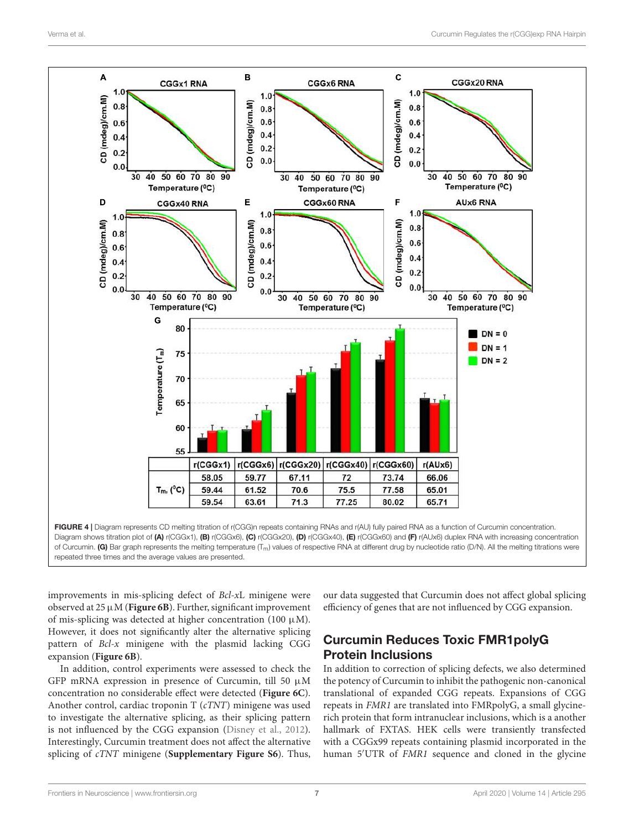

repeated three times and the average values are presented.

improvements in mis-splicing defect of Bcl-xL minigene were observed at 25 µM (**Figure 6B**). Further, significant improvement of mis-splicing was detected at higher concentration (100  $\mu$ M). However, it does not significantly alter the alternative splicing pattern of  $Bcl-x$  minigene with the plasmid lacking CGG expansion (**Figure 6B**).

In addition, control experiments were assessed to check the GFP mRNA expression in presence of Curcumin, till 50  $\mu$ M concentration no considerable effect were detected (**Figure 6C**). Another control, cardiac troponin T (cTNT) minigene was used to investigate the alternative splicing, as their splicing pattern is not influenced by the CGG expansion (Disney et al., 2012). Interestingly, Curcumin treatment does not affect the alternative splicing of cTNT minigene (**Supplementary Figure S6**). Thus,

our data suggested that Curcumin does not affect global splicing efficiency of genes that are not influenced by CGG expansion.

## Curcumin Reduces Toxic FMR1polyG Protein Inclusions

In addition to correction of splicing defects, we also determined the potency of Curcumin to inhibit the pathogenic non-canonical translational of expanded CGG repeats. Expansions of CGG repeats in FMR1 are translated into FMRpolyG, a small glycinerich protein that form intranuclear inclusions, which is a another hallmark of FXTAS. HEK cells were transiently transfected with a CGGx99 repeats containing plasmid incorporated in the human 5'UTR of FMR1 sequence and cloned in the glycine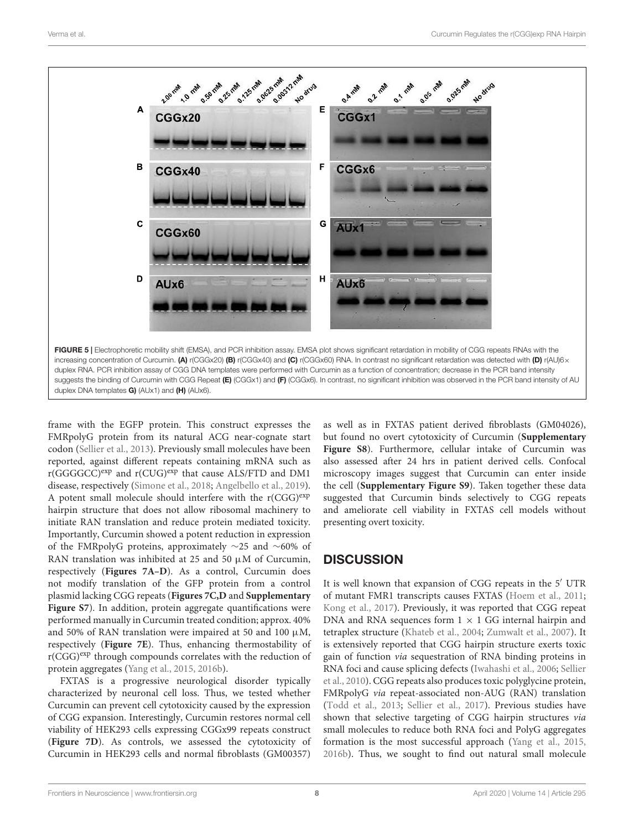

frame with the EGFP protein. This construct expresses the FMRpolyG protein from its natural ACG near-cognate start codon (Sellier et al., 2013). Previously small molecules have been reported, against different repeats containing mRNA such as  $r(GGGGCC)^{exp}$  and  $r(CUG)^{exp}$  that cause ALS/FTD and DM1 disease, respectively (Simone et al., 2018; Angelbello et al., 2019). A potent small molecule should interfere with the  $r(CGG)^{exp}$ hairpin structure that does not allow ribosomal machinery to initiate RAN translation and reduce protein mediated toxicity. Importantly, Curcumin showed a potent reduction in expression of the FMRpolyG proteins, approximately ∼25 and ∼60% of RAN translation was inhibited at 25 and 50  $\mu$ M of Curcumin, respectively (**Figures 7A–D**). As a control, Curcumin does not modify translation of the GFP protein from a control plasmid lacking CGG repeats (**Figures 7C,D** and **Supplementary** Figure S7). In addition, protein aggregate quantifications were performed manually in Curcumin treated condition; approx. 40% and 50% of RAN translation were impaired at 50 and 100  $\mu$ M, respectively (**Figure 7E**). Thus, enhancing thermostability of  $r(CGG)^{exp}$  through compounds correlates with the reduction of protein aggregates (Yang et al., 2015, 2016b).

FXTAS is a progressive neurological disorder typically characterized by neuronal cell loss. Thus, we tested whether Curcumin can prevent cell cytotoxicity caused by the expression of CGG expansion. Interestingly, Curcumin restores normal cell viability of HEK293 cells expressing CGGx99 repeats construct (**Figure 7D**). As controls, we assessed the cytotoxicity of Curcumin in HEK293 cells and normal fibroblasts (GM00357)

as well as in FXTAS patient derived fibroblasts (GM04026), but found no overt cytotoxicity of Curcumin (**Supplementary Figure S8**). Furthermore, cellular intake of Curcumin was also assessed after 24 hrs in patient derived cells. Confocal microscopy images suggest that Curcumin can enter inside the cell (**Supplementary Figure S9**). Taken together these data suggested that Curcumin binds selectively to CGG repeats and ameliorate cell viability in FXTAS cell models without presenting overt toxicity.

## **DISCUSSION**

It is well known that expansion of CGG repeats in the 5′ UTR of mutant FMR1 transcripts causes FXTAS (Hoem et al., 2011; Kong et al., 2017). Previously, it was reported that CGG repeat DNA and RNA sequences form  $1 \times 1$  GG internal hairpin and tetraplex structure (Khateb et al., 2004; Zumwalt et al., 2007). It is extensively reported that CGG hairpin structure exerts toxic gain of function via sequestration of RNA binding proteins in RNA foci and cause splicing defects (Iwahashi et al., 2006; Sellier et al., 2010). CGG repeats also produces toxic polyglycine protein, FMRpolyG via repeat-associated non-AUG (RAN) translation (Todd et al., 2013; Sellier et al., 2017). Previous studies have shown that selective targeting of CGG hairpin structures via small molecules to reduce both RNA foci and PolyG aggregates formation is the most successful approach (Yang et al., 2015, 2016b). Thus, we sought to find out natural small molecule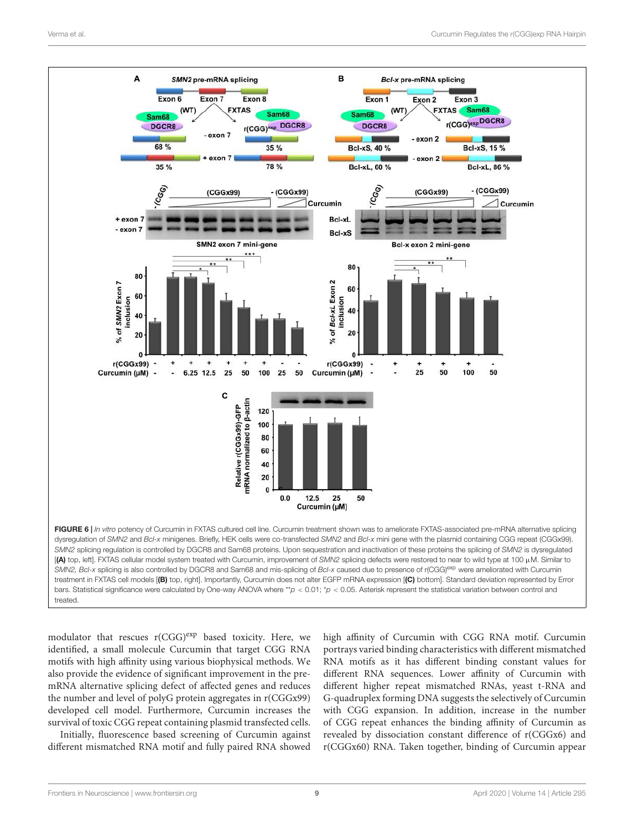

modulator that rescues  $r(CGG)^{exp}$  based toxicity. Here, we identified, a small molecule Curcumin that target CGG RNA motifs with high affinity using various biophysical methods. We also provide the evidence of significant improvement in the premRNA alternative splicing defect of affected genes and reduces the number and level of polyG protein aggregates in r(CGGx99) developed cell model. Furthermore, Curcumin increases the survival of toxic CGG repeat containing plasmid transfected cells.

Initially, fluorescence based screening of Curcumin against different mismatched RNA motif and fully paired RNA showed high affinity of Curcumin with CGG RNA motif. Curcumin portrays varied binding characteristics with different mismatched RNA motifs as it has different binding constant values for different RNA sequences. Lower affinity of Curcumin with different higher repeat mismatched RNAs, yeast t-RNA and G-quadruplex forming DNA suggests the selectively of Curcumin with CGG expansion. In addition, increase in the number of CGG repeat enhances the binding affinity of Curcumin as revealed by dissociation constant difference of r(CGGx6) and r(CGGx60) RNA. Taken together, binding of Curcumin appear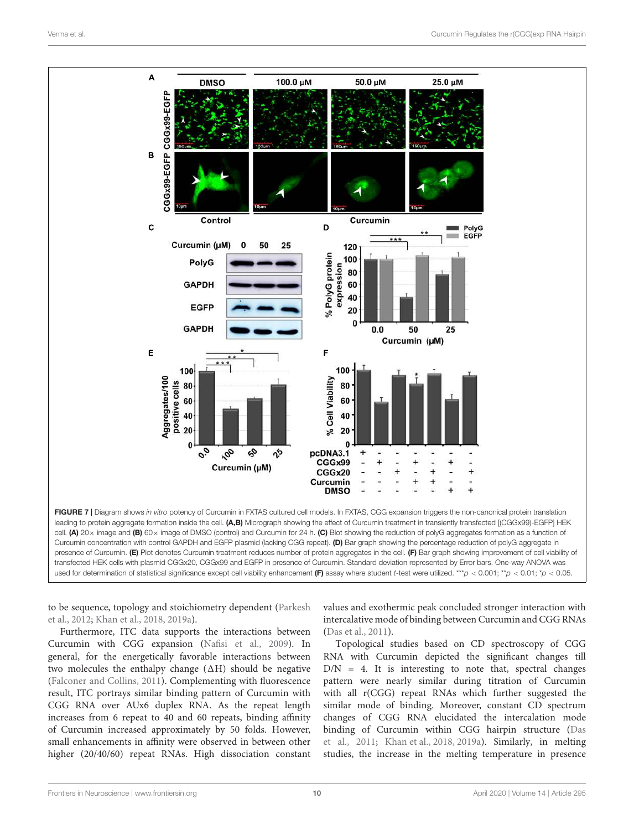

to be sequence, topology and stoichiometry dependent (Parkesh et al., 2012; Khan et al., 2018, 2019a).

Furthermore, ITC data supports the interactions between Curcumin with CGG expansion (Nafisi et al., 2009). In general, for the energetically favorable interactions between two molecules the enthalpy change  $(\Delta H)$  should be negative (Falconer and Collins, 2011). Complementing with fluorescence result, ITC portrays similar binding pattern of Curcumin with CGG RNA over AUx6 duplex RNA. As the repeat length increases from 6 repeat to 40 and 60 repeats, binding affinity of Curcumin increased approximately by 50 folds. However, small enhancements in affinity were observed in between other higher (20/40/60) repeat RNAs. High dissociation constant values and exothermic peak concluded stronger interaction with intercalative mode of binding between Curcumin and CGG RNAs (Das et al., 2011).

Topological studies based on CD spectroscopy of CGG RNA with Curcumin depicted the significant changes till  $D/N = 4$ . It is interesting to note that, spectral changes pattern were nearly similar during titration of Curcumin with all r(CGG) repeat RNAs which further suggested the similar mode of binding. Moreover, constant CD spectrum changes of CGG RNA elucidated the intercalation mode binding of Curcumin within CGG hairpin structure (Das et al., 2011; Khan et al., 2018, 2019a). Similarly, in melting studies, the increase in the melting temperature in presence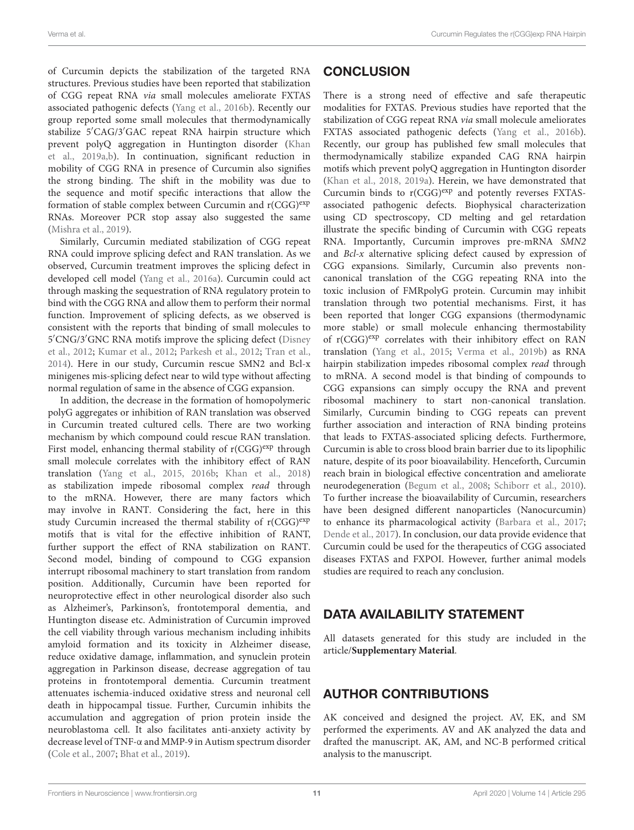of Curcumin depicts the stabilization of the targeted RNA structures. Previous studies have been reported that stabilization of CGG repeat RNA via small molecules ameliorate FXTAS associated pathogenic defects (Yang et al., 2016b). Recently our group reported some small molecules that thermodynamically stabilize 5′CAG/3′GAC repeat RNA hairpin structure which prevent polyQ aggregation in Huntington disorder (Khan et al., 2019a,b). In continuation, significant reduction in mobility of CGG RNA in presence of Curcumin also signifies the strong binding. The shift in the mobility was due to the sequence and motif specific interactions that allow the formation of stable complex between Curcumin and  $r(CGG)^{exp}$ RNAs. Moreover PCR stop assay also suggested the same (Mishra et al., 2019).

Similarly, Curcumin mediated stabilization of CGG repeat RNA could improve splicing defect and RAN translation. As we observed, Curcumin treatment improves the splicing defect in developed cell model (Yang et al., 2016a). Curcumin could act through masking the sequestration of RNA regulatory protein to bind with the CGG RNA and allow them to perform their normal function. Improvement of splicing defects, as we observed is consistent with the reports that binding of small molecules to 5 ′CNG/3′GNC RNA motifs improve the splicing defect (Disney et al., 2012; Kumar et al., 2012; Parkesh et al., 2012; Tran et al., 2014). Here in our study, Curcumin rescue SMN2 and Bcl-x minigenes mis-splicing defect near to wild type without affecting normal regulation of same in the absence of CGG expansion.

In addition, the decrease in the formation of homopolymeric polyG aggregates or inhibition of RAN translation was observed in Curcumin treated cultured cells. There are two working mechanism by which compound could rescue RAN translation. First model, enhancing thermal stability of  $r(CGG)^{exp}$  through small molecule correlates with the inhibitory effect of RAN translation (Yang et al., 2015, 2016b; Khan et al., 2018) as stabilization impede ribosomal complex read through to the mRNA. However, there are many factors which may involve in RANT. Considering the fact, here in this study Curcumin increased the thermal stability of  $r(CGG)^{exp}$ motifs that is vital for the effective inhibition of RANT, further support the effect of RNA stabilization on RANT. Second model, binding of compound to CGG expansion interrupt ribosomal machinery to start translation from random position. Additionally, Curcumin have been reported for neuroprotective effect in other neurological disorder also such as Alzheimer's, Parkinson's, frontotemporal dementia, and Huntington disease etc. Administration of Curcumin improved the cell viability through various mechanism including inhibits amyloid formation and its toxicity in Alzheimer disease, reduce oxidative damage, inflammation, and synuclein protein aggregation in Parkinson disease, decrease aggregation of tau proteins in frontotemporal dementia. Curcumin treatment attenuates ischemia-induced oxidative stress and neuronal cell death in hippocampal tissue. Further, Curcumin inhibits the accumulation and aggregation of prion protein inside the neuroblastoma cell. It also facilitates anti-anxiety activity by decrease level of TNF-α and MMP-9 in Autism spectrum disorder (Cole et al., 2007; Bhat et al., 2019).

#### **CONCLUSION**

There is a strong need of effective and safe therapeutic modalities for FXTAS. Previous studies have reported that the stabilization of CGG repeat RNA via small molecule ameliorates FXTAS associated pathogenic defects (Yang et al., 2016b). Recently, our group has published few small molecules that thermodynamically stabilize expanded CAG RNA hairpin motifs which prevent polyQ aggregation in Huntington disorder (Khan et al., 2018, 2019a). Herein, we have demonstrated that Curcumin binds to  $r(CGG)^{exp}$  and potently reverses FXTASassociated pathogenic defects. Biophysical characterization using CD spectroscopy, CD melting and gel retardation illustrate the specific binding of Curcumin with CGG repeats RNA. Importantly, Curcumin improves pre-mRNA SMN2 and  $Bcl-x$  alternative splicing defect caused by expression of CGG expansions. Similarly, Curcumin also prevents noncanonical translation of the CGG repeating RNA into the toxic inclusion of FMRpolyG protein. Curcumin may inhibit translation through two potential mechanisms. First, it has been reported that longer CGG expansions (thermodynamic more stable) or small molecule enhancing thermostability of r(CGG)<sup>exp</sup> correlates with their inhibitory effect on RAN translation (Yang et al., 2015; Verma et al., 2019b) as RNA hairpin stabilization impedes ribosomal complex read through to mRNA. A second model is that binding of compounds to CGG expansions can simply occupy the RNA and prevent ribosomal machinery to start non-canonical translation. Similarly, Curcumin binding to CGG repeats can prevent further association and interaction of RNA binding proteins that leads to FXTAS-associated splicing defects. Furthermore, Curcumin is able to cross blood brain barrier due to its lipophilic nature, despite of its poor bioavailability. Henceforth, Curcumin reach brain in biological effective concentration and ameliorate neurodegeneration (Begum et al., 2008; Schiborr et al., 2010). To further increase the bioavailability of Curcumin, researchers have been designed different nanoparticles (Nanocurcumin) to enhance its pharmacological activity (Barbara et al., 2017; Dende et al., 2017). In conclusion, our data provide evidence that Curcumin could be used for the therapeutics of CGG associated diseases FXTAS and FXPOI. However, further animal models studies are required to reach any conclusion.

#### DATA AVAILABILITY STATEMENT

All datasets generated for this study are included in the article/**Supplementary Material**.

#### AUTHOR CONTRIBUTIONS

AK conceived and designed the project. AV, EK, and SM performed the experiments. AV and AK analyzed the data and drafted the manuscript. AK, AM, and NC-B performed critical analysis to the manuscript.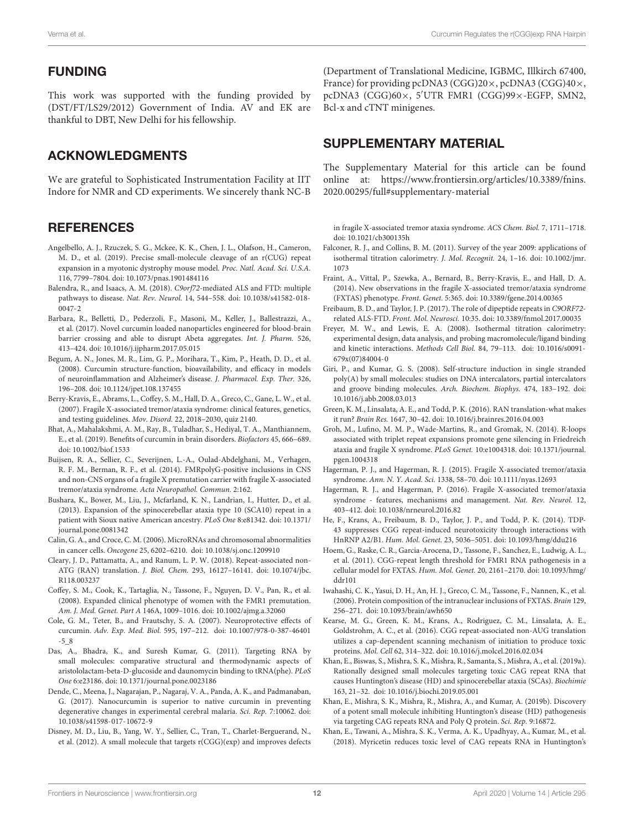#### FUNDING

This work was supported with the funding provided by (DST/FT/LS29/2012) Government of India. AV and EK are thankful to DBT, New Delhi for his fellowship.

#### ACKNOWLEDGMENTS

We are grateful to Sophisticated Instrumentation Facility at IIT Indore for NMR and CD experiments. We sincerely thank NC-B

#### **REFERENCES**

- Angelbello, A. J., Rzuczek, S. G., Mckee, K. K., Chen, J. L., Olafson, H., Cameron, M. D., et al. (2019). Precise small-molecule cleavage of an r(CUG) repeat expansion in a myotonic dystrophy mouse model. Proc. Natl. Acad. Sci. U.S.A. 116, 7799–7804. doi: 10.1073/pnas.1901484116
- Balendra, R., and Isaacs, A. M. (2018). C9orf72-mediated ALS and FTD: multiple pathways to disease. Nat. Rev. Neurol. 14, 544–558. doi: 10.1038/s41582-018- 0047-2
- Barbara, R., Belletti, D., Pederzoli, F., Masoni, M., Keller, J., Ballestrazzi, A., et al. (2017). Novel curcumin loaded nanoparticles engineered for blood-brain barrier crossing and able to disrupt Abeta aggregates. Int. J. Pharm. 526, 413–424. doi: 10.1016/j.ijpharm.2017.05.015
- Begum, A. N., Jones, M. R., Lim, G. P., Morihara, T., Kim, P., Heath, D. D., et al. (2008). Curcumin structure-function, bioavailability, and efficacy in models of neuroinflammation and Alzheimer's disease. J. Pharmacol. Exp. Ther. 326, 196–208. doi: 10.1124/jpet.108.137455
- Berry-Kravis, E., Abrams, L., Coffey, S. M., Hall, D. A., Greco, C., Gane, L. W., et al. (2007). Fragile X-associated tremor/ataxia syndrome: clinical features, genetics, and testing guidelines. Mov. Disord. 22, 2018–2030, quiz 2140.
- Bhat, A., Mahalakshmi, A. M., Ray, B., Tuladhar, S., Hediyal, T. A., Manthiannem, E., et al. (2019). Benefits of curcumin in brain disorders. Biofactors 45, 666–689. doi: 10.1002/biof.1533
- Buijsen, R. A., Sellier, C., Severijnen, L.-A., Oulad-Abdelghani, M., Verhagen, R. F. M., Berman, R. F., et al. (2014). FMRpolyG-positive inclusions in CNS and non-CNS organs of a fragile X premutation carrier with fragile X-associated tremor/ataxia syndrome. Acta Neuropathol. Commun. 2:162.
- Bushara, K., Bower, M., Liu, J., Mcfarland, K. N., Landrian, I., Hutter, D., et al. (2013). Expansion of the spinocerebellar ataxia type 10 (SCA10) repeat in a patient with Sioux native American ancestry. PLoS One 8:e81342. doi: 10.1371/ journal.pone.0081342
- Calin, G. A., and Croce, C. M. (2006). MicroRNAs and chromosomal abnormalities in cancer cells. Oncogene 25, 6202–6210. doi: 10.1038/sj.onc.1209910
- Cleary, J. D., Pattamatta, A., and Ranum, L. P. W. (2018). Repeat-associated non-ATG (RAN) translation. J. Biol. Chem. 293, 16127–16141. doi: 10.1074/jbc. R118.003237
- Coffey, S. M., Cook, K., Tartaglia, N., Tassone, F., Nguyen, D. V., Pan, R., et al. (2008). Expanded clinical phenotype of women with the FMR1 premutation. Am. J. Med. Genet. Part A 146A, 1009–1016. doi: 10.1002/ajmg.a.32060
- Cole, G. M., Teter, B., and Frautschy, S. A. (2007). Neuroprotective effects of curcumin. Adv. Exp. Med. Biol. 595, 197–212. doi: 10.1007/978-0-387-46401 -5\_8
- Das, A., Bhadra, K., and Suresh Kumar, G. (2011). Targeting RNA by small molecules: comparative structural and thermodynamic aspects of aristololactam-beta-D-glucoside and daunomycin binding to tRNA(phe). PLoS One 6:e23186. doi: 10.1371/journal.pone.0023186
- Dende, C., Meena, J., Nagarajan, P., Nagaraj, V. A., Panda, A. K., and Padmanaban, G. (2017). Nanocurcumin is superior to native curcumin in preventing degenerative changes in experimental cerebral malaria. Sci. Rep. 7:10062. doi: 10.1038/s41598-017-10672-9
- Disney, M. D., Liu, B., Yang, W. Y., Sellier, C., Tran, T., Charlet-Berguerand, N., et al. (2012). A small molecule that targets r(CGG)(exp) and improves defects

(Department of Translational Medicine, IGBMC, Illkirch 67400, France) for providing pcDNA3 (CGG)20×, pcDNA3 (CGG)40×, pcDNA3 (CGG)60×, 5′UTR FMR1 (CGG)99×-EGFP, SMN2, Bcl-x and cTNT minigenes.

## SUPPLEMENTARY MATERIAL

The Supplementary Material for this article can be found online at: https://www.frontiersin.org/articles/10.3389/fnins. 2020.00295/full#supplementary-material

in fragile X-associated tremor ataxia syndrome. ACS Chem. Biol. 7, 1711–1718. doi: 10.1021/cb300135h

- Falconer, R. J., and Collins, B. M. (2011). Survey of the year 2009: applications of isothermal titration calorimetry. J. Mol. Recognit. 24, 1–16. doi: 10.1002/jmr. 1073
- Fraint, A., Vittal, P., Szewka, A., Bernard, B., Berry-Kravis, E., and Hall, D. A. (2014). New observations in the fragile X-associated tremor/ataxia syndrome (FXTAS) phenotype. Front. Genet. 5:365. doi: 10.3389/fgene.2014.00365
- Freibaum, B. D., and Taylor, J. P. (2017). The role of dipeptide repeats in C9ORF72 related ALS-FTD. Front. Mol. Neurosci. 10:35. doi: 10.3389/fnmol.2017.00035
- Freyer, M. W., and Lewis, E. A. (2008). Isothermal titration calorimetry: experimental design, data analysis, and probing macromolecule/ligand binding and kinetic interactions. Methods Cell Biol. 84, 79–113. doi: 10.1016/s0091- 679x(07)84004-0
- Giri, P., and Kumar, G. S. (2008). Self-structure induction in single stranded poly(A) by small molecules: studies on DNA intercalators, partial intercalators and groove binding molecules. Arch. Biochem. Biophys. 474, 183–192. doi: 10.1016/j.abb.2008.03.013
- Green, K. M., Linsalata, A. E., and Todd, P. K. (2016). RAN translation-what makes it run? Brain Res. 1647, 30–42. doi: 10.1016/j.brainres.2016.04.003
- Groh, M., Lufino, M. M. P., Wade-Martins, R., and Gromak, N. (2014). R-loops associated with triplet repeat expansions promote gene silencing in Friedreich ataxia and fragile X syndrome. PLoS Genet. 10:e1004318. doi: 10.1371/journal. pgen.1004318
- Hagerman, P. J., and Hagerman, R. J. (2015). Fragile X-associated tremor/ataxia syndrome. Ann. N. Y. Acad. Sci. 1338, 58–70. doi: 10.1111/nyas.12693
- Hagerman, R. J., and Hagerman, P. (2016). Fragile X-associated tremor/ataxia syndrome - features, mechanisms and management. Nat. Rev. Neurol. 12, 403–412. doi: 10.1038/nrneurol.2016.82
- He, F., Krans, A., Freibaum, B. D., Taylor, J. P., and Todd, P. K. (2014). TDP-43 suppresses CGG repeat-induced neurotoxicity through interactions with HnRNP A2/B1. Hum. Mol. Genet. 23, 5036–5051. doi: 10.1093/hmg/ddu216
- Hoem, G., Raske, C. R., Garcia-Arocena, D., Tassone, F., Sanchez, E., Ludwig, A. L., et al. (2011). CGG-repeat length threshold for FMR1 RNA pathogenesis in a cellular model for FXTAS. Hum. Mol. Genet. 20, 2161–2170. doi: 10.1093/hmg/ ddr101
- Iwahashi, C. K., Yasui, D. H., An, H. J., Greco, C. M., Tassone, F., Nannen, K., et al. (2006). Protein composition of the intranuclear inclusions of FXTAS. Brain 129, 256–271. doi: 10.1093/brain/awh650
- Kearse, M. G., Green, K. M., Krans, A., Rodriguez, C. M., Linsalata, A. E., Goldstrohm, A. C., et al. (2016). CGG repeat-associated non-AUG translation utilizes a cap-dependent scanning mechanism of initiation to produce toxic proteins. Mol. Cell 62, 314–322. doi: 10.1016/j.molcel.2016.02.034
- Khan, E., Biswas, S., Mishra, S. K., Mishra, R., Samanta, S., Mishra, A., et al. (2019a). Rationally designed small molecules targeting toxic CAG repeat RNA that causes Huntington's disease (HD) and spinocerebellar ataxia (SCAs). Biochimie 163, 21–32. doi: 10.1016/j.biochi.2019.05.001
- Khan, E., Mishra, S. K., Mishra, R., Mishra, A., and Kumar, A. (2019b). Discovery of a potent small molecule inhibiting Huntington's disease (HD) pathogenesis via targeting CAG repeats RNA and Poly Q protein. Sci. Rep. 9:16872.
- Khan, E., Tawani, A., Mishra, S. K., Verma, A. K., Upadhyay, A., Kumar, M., et al. (2018). Myricetin reduces toxic level of CAG repeats RNA in Huntington's